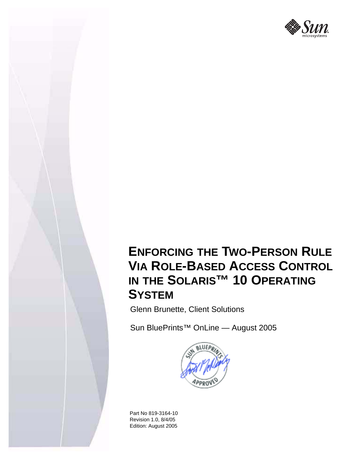

# **ENFORCING THE TWO-PERSON RULE VIA ROLE-BASED ACCESS CONTROL IN THE SOLARIS™ 10 OPERATING SYSTEM**

Glenn Brunette, Client Solutions

Sun BluePrints™ OnLine — August 2005



Part No 819-3164-10 Revision 1.0, 8/4/05 Edition: August 2005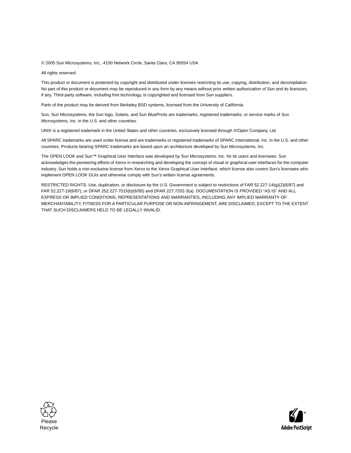© 2005 Sun Microsystems, Inc., 4150 Network Circle, Santa Clara, CA 95054 USA

All rights reserved.

This product or document is protected by copyright and distributed under licenses restricting its use, copying, distribution, and decompilation. No part of this product or document may be reproduced in any form by any means without prior written authorization of Sun and its licensors, if any. Third-party software, including font technology, is copyrighted and licensed from Sun suppliers.

Parts of the product may be derived from Berkeley BSD systems, licensed from the University of California.

Sun, Sun Microsystems, the Sun logo, Solaris, and Sun BluePrints are trademarks, registered trademarks, or service marks of Sun Microsystems, Inc. in the U.S. and other countries.

UNIX is a registered trademark in the United States and other countries, exclusively licensed through X/Open Company, Ltd.

All SPARC trademarks are used under license and are trademarks or registered trademarks of SPARC International, Inc. in the U.S. and other countries. Products bearing SPARC trademarks are based upon an architecture developed by Sun Microsystems, Inc.

The OPEN LOOK and Sun™ Graphical User Interface was developed by Sun Microsystems, Inc. for its users and licensees. Sun acknowledges the pioneering efforts of Xerox in researching and developing the concept of visual or graphical user interfaces for the computer industry. Sun holds a non-exclusive license from Xerox to the Xerox Graphical User Interface, which license also covers Sun's licensees who implement OPEN LOOK GUIs and otherwise comply with Sun's written license agreements.

RESTRICTED RIGHTS: Use, duplication, or disclosure by the U.S. Government is subject to restrictions of FAR 52.227-14(g)(2)(6/87) and FAR 52.227-19(6/87), or DFAR 252.227-7015(b)(6/95) and DFAR 227.7202-3(a). DOCUMENTATION IS PROVIDED "AS IS" AND ALL EXPRESS OR IMPLIED CONDITIONS, REPRESENTATIONS AND WARRANTIES, INCLUDING ANY IMPLIED WARRANTY OF MERCHANTABILITY, FITNESS FOR A PARTICULAR PURPOSE OR NON-INFRINGEMENT, ARE DISCLAIMED, EXCEPT TO THE EXTENT THAT SUCH DISCLAIMERS HELD TO BE LEGALLY INVALID.



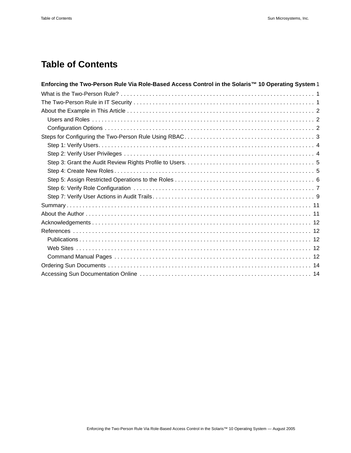## **Table of Contents**

| Enforcing the Two-Person Rule Via Role-Based Access Control in the Solaris™ 10 Operating System 1 |
|---------------------------------------------------------------------------------------------------|
|                                                                                                   |
|                                                                                                   |
|                                                                                                   |
|                                                                                                   |
|                                                                                                   |
|                                                                                                   |
|                                                                                                   |
|                                                                                                   |
|                                                                                                   |
|                                                                                                   |
|                                                                                                   |
|                                                                                                   |
|                                                                                                   |
|                                                                                                   |
|                                                                                                   |
|                                                                                                   |
|                                                                                                   |
|                                                                                                   |
|                                                                                                   |
|                                                                                                   |
|                                                                                                   |
|                                                                                                   |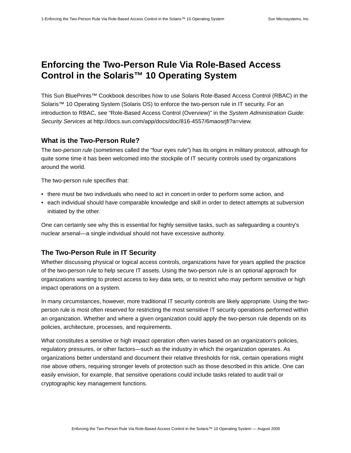### <span id="page-3-0"></span>**Enforcing the Two-Person Rule Via Role-Based Access Control in the Solaris™ 10 Operating System**

[This Sun BluePrints™ Cookbook describes how to use Solaris Role-Based Access Control \(RBAC\) in the](http://docs.sun.com/app/docs/doc/816-4557/6maosrjfi?a=view)  Solaris™ 10 Operating System (Solaris OS) to enforce the two-person rule in IT security. For an [introduction to RBAC, see "Role-Based Access Control \(Overview\)" in the](http://docs.sun.com/app/docs/doc/816-4557/6maosrjfi?a=view) *[System Administration Guide:](http://docs.sun.com/app/docs/doc/816-4557)  [Security Services](http://docs.sun.com/app/docs/doc/816-4557)* [at http://docs.sun.com/app/docs/doc/816-4557/6maosrjfi?a=view.](http://docs.sun.com/app/docs/doc/816-4557/6maosrjfi?a=view)

#### <span id="page-3-1"></span>**What is the Two-Person Rule?**

The *two-person rule* (sometimes called the "four eyes rule") has its origins in military protocol, although for quite some time it has been welcomed into the stockpile of IT security controls used by organizations around the world.

The two-person rule specifies that:

- there must be two individuals who need to act in concert in order to perform some action, and
- each individual should have comparable knowledge and skill in order to detect attempts at subversion initiated by the other.

One can certainly see why this is essential for highly sensitive tasks, such as safeguarding a country's nuclear arsenal—a single individual should not have excessive authority.

#### <span id="page-3-2"></span>**The Two-Person Rule in IT Security**

Whether discussing physical or logical access controls, organizations have for years applied the practice of the two-person rule to help secure IT assets. Using the two-person rule is an optional approach for organizations wanting to protect access to key data sets, or to restrict who may perform sensitive or high impact operations on a system.

In many circumstances, however, more traditional IT security controls are likely appropriate. Using the twoperson rule is most often reserved for restricting the most sensitive IT security operations performed within an organization. Whether and where a given organization could apply the two-person rule depends on its policies, architecture, processes, and requirements.

What constitutes a sensitive or high impact operation often varies based on an organization's policies, regulatory pressures, or other factors—such as the industry in which the organization operates. As organizations better understand and document their relative thresholds for risk, certain operations might rise above others, requiring stronger levels of protection such as those described in this article. One can easily envision, for example, that sensitive operations could include tasks related to audit trail or cryptographic key management functions.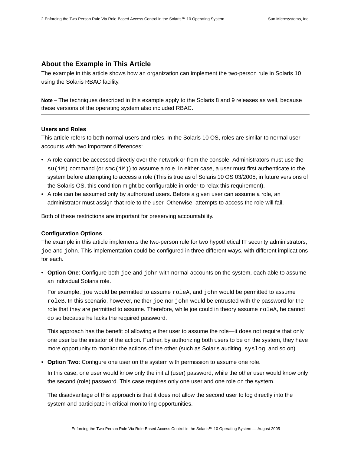#### <span id="page-4-0"></span>**About the Example in This Article**

The example in this article shows how an organization can implement the two-person rule in Solaris 10 using the Solaris RBAC facility.

**Note –** The techniques described in this example apply to the Solaris 8 and 9 releases as well, because these versions of the operating system also included RBAC.

#### <span id="page-4-1"></span>**Users and Roles**

This article refers to both normal users and roles. In the Solaris 10 OS, roles are similar to normal user accounts with two important differences:

- A role cannot be accessed directly over the network or from the console. Administrators must use the  $su(1M)$  command (or  $smc(1M)$ ) to assume a role. In either case, a user must first authenticate to the system before attempting to access a role (This is true as of Solaris 10 OS 03/2005; in future versions of the Solaris OS, this condition might be configurable in order to relax this requirement).
- A role can be assumed only by authorized users. Before a given user can assume a role, an administrator must assign that role to the user. Otherwise, attempts to access the role will fail.

Both of these restrictions are important for preserving accountability.

#### <span id="page-4-2"></span>**Configuration Options**

The example in this article implements the two-person rule for two hypothetical IT security administrators, joe and john. This implementation could be configured in three different ways, with different implications for each.

• **Option One**: Configure both joe and john with normal accounts on the system, each able to assume an individual Solaris role.

For example, joe would be permitted to assume roleA, and john would be permitted to assume roleB. In this scenario, however, neither joe nor john would be entrusted with the password for the role that they are permitted to assume. Therefore, while joe could in theory assume roleA, he cannot do so because he lacks the required password.

This approach has the benefit of allowing either user to assume the role—it does not require that only one user be the initiator of the action. Further, by authorizing both users to be on the system, they have more opportunity to monitor the actions of the other (such as Solaris auditing, syslog, and so on).

• **Option Two**: Configure one user on the system with permission to assume one role.

In this case, one user would know only the initial (user) password, while the other user would know only the second (role) password. This case requires only one user and one role on the system.

The disadvantage of this approach is that it does not allow the second user to log directly into the system and participate in critical monitoring opportunities.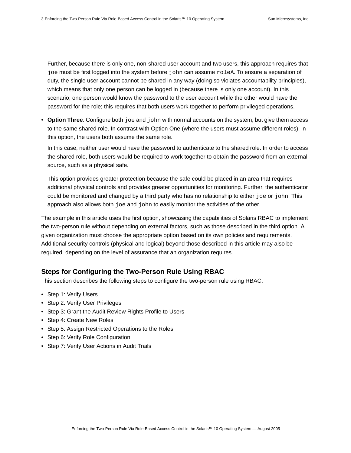Further, because there is only one, non-shared user account and two users, this approach requires that joe must be first logged into the system before john can assume roleA. To ensure a separation of duty, the single user account cannot be shared in any way (doing so violates accountability principles), which means that only one person can be logged in (because there is only one account). In this scenario, one person would know the password to the user account while the other would have the password for the role; this requires that both users work together to perform privileged operations.

• **Option Three**: Configure both joe and john with normal accounts on the system, but give them access to the same shared role. In contrast with Option One (where the users must assume different roles), in this option, the users both assume the same role.

In this case, neither user would have the password to authenticate to the shared role. In order to access the shared role, both users would be required to work together to obtain the password from an external source, such as a physical safe.

This option provides greater protection because the safe could be placed in an area that requires additional physical controls and provides greater opportunities for monitoring. Further, the authenticator could be monitored and changed by a third party who has no relationship to either joe or john. This approach also allows both joe and john to easily monitor the activities of the other.

The example in this article uses the first option, showcasing the capabilities of Solaris RBAC to implement the two-person rule without depending on external factors, such as those described in the third option. A given organization must choose the appropriate option based on its own policies and requirements. Additional security controls (physical and logical) beyond those described in this article may also be required, depending on the level of assurance that an organization requires.

#### <span id="page-5-0"></span>**Steps for Configuring the Two-Person Rule Using RBAC**

This section describes the following steps to configure the two-person rule using RBAC:

- [Step 1: Verify Users](#page-6-0)
- [Step 2: Verify User Privileges](#page-6-1)
- [Step 3: Grant the Audit Review Rights Profile to Users](#page-7-0)
- [Step 4: Create New Roles](#page-7-1)
- [Step 5: Assign Restricted Operations to the Roles](#page-8-0)
- [Step 6: Verify Role Configuration](#page-9-0)
- [Step 7: Verify User Actions in Audit Trails](#page-11-0)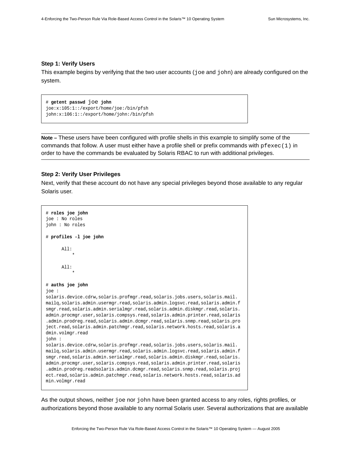#### <span id="page-6-0"></span>**Step 1: Verify Users**

This example begins by verifying that the two user accounts (joe and john) are already configured on the system.

```
# getent passwd joe john
joe:x:105:1::/export/home/joe:/bin/pfsh
john:x:106:1::/export/home/john:/bin/pfsh
```
**Note –** These users have been configured with profile shells in this example to simplify some of the commands that follow. A user must either have a profile shell or prefix commands with  $pfexec(1)$  in order to have the commands be evaluated by Solaris RBAC to run with additional privileges.

#### <span id="page-6-1"></span>**Step 2: Verify User Privileges**

Next, verify that these account do not have any special privileges beyond those available to any regular Solaris user.

```
# roles joe john
joe : No roles
john : No roles
# profiles -l joe john
      All:
 *
       All:
 *
# auths joe john
joe : 
solaris.device.cdrw,solaris.profmgr.read,solaris.jobs.users,solaris.mail.
mailq,solaris.admin.usermgr.read,solaris.admin.logsvc.read,solaris.admin.f
smgr.read,solaris.admin.serialmgr.read,solaris.admin.diskmgr.read,solaris.
admin.procmgr.user,solaris.compsys.read,solaris.admin.printer.read,solaris
.admin.prodreg.read,solaris.admin.dcmgr.read,solaris.snmp.read,solaris.pro
ject.read,solaris.admin.patchmgr.read,solaris.network.hosts.read,solaris.a
dmin.volmgr.read
john : 
solaris.device.cdrw,solaris.profmgr.read,solaris.jobs.users,solaris.mail.
mailq,solaris.admin.usermgr.read,solaris.admin.logsvc.read,solaris.admin.f
smgr.read,solaris.admin.serialmgr.read,solaris.admin.diskmgr.read,solaris.
admin.procmgr.user,solaris.compsys.read,solaris.admin.printer.read,solaris
.admin.prodreg.readsolaris.admin.dcmgr.read,solaris.snmp.read,solaris.proj
ect.read,solaris.admin.patchmgr.read,solaris.network.hosts.read,solaris.ad
min.volmgr.read
```
As the output shows, neither joe nor john have been granted access to any roles, rights profiles, or authorizations beyond those available to any normal Solaris user. Several authorizations that are available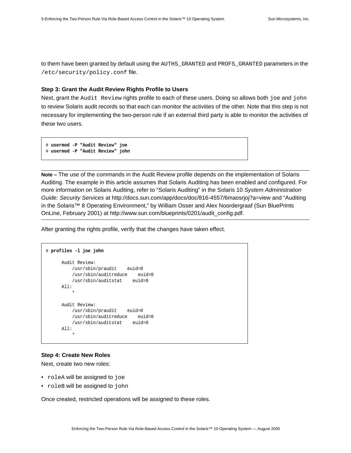to them have been granted by default using the AUTHS\_GRANTED and PROFS\_GRANTED parameters in the /etc/security/policy.conf file.

#### <span id="page-7-0"></span>**Step 3: Grant the Audit Review Rights Profile to Users**

Next, grant the Audit Review rights profile to each of these users. Doing so allows both joe and john to review Solaris audit records so that each can monitor the activities of the other. Note that this step is not necessary for implementing the two-person rule if an external third party is able to monitor the activities of these two users.

```
# usermod -P "Audit Review" joe
# usermod -P "Audit Review" john
```
**Note –** The use of the commands in the Audit Review profile depends on the implementation of Solaris Auditing. The example in this article assumes that Solaris Auditing has been enabled and configured. For more information on Solaris Auditing, refer to "Solaris Auditing" in the Solaris 10 *System Administration Guide: Security Services* [at http://docs.sun.com/app/docs/doc/816-4557/6maosrjoj?a=view and "Auditing](http://docs.sun.com/app/docs/doc/816-4557/6maosrjoj?a=view)  [in the Solaris™ 8 Operating Environment," by William Osser and Alex Noordergraaf \(Sun](http://docs.sun.com/app/docs/doc/816-4557/6maosrjoj?a=view) BluePrints [OnLine, February 2001\) at](http://docs.sun.com/app/docs/doc/816-4557/6maosrjoj?a=view) [http://www.sun.com/blueprints/0201/audit\\_config.pdf.](http://www.sun.com/blueprints/0201/audit_config.pdf)

After granting the rights profile, verify that the changes have taken effect.

```
# profiles -l joe john
      Audit Review:
         /usr/sbin/praudit euid=0
         /usr/sbin/auditreduce euid=0
         /usr/sbin/auditstat euid=0
      All:
 *
      Audit Review:
         /usr/sbin/praudit euid=0
          /usr/sbin/auditreduce euid=0
         /usr/sbin/auditstat euid=0
      All:
 *
```
#### <span id="page-7-1"></span>**Step 4: Create New Roles**

Next, create two new roles:

- roleA will be assigned to joe
- roleB will be assigned to john

Once created, restricted operations will be assigned to these roles.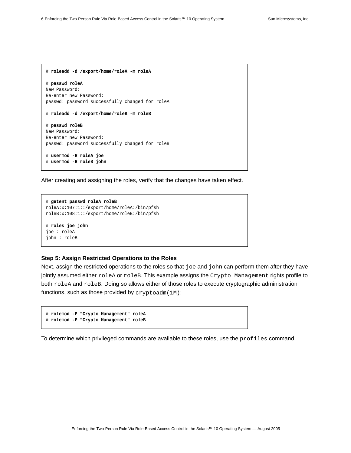```
# roleadd -d /export/home/roleA -m roleA
# passwd roleA
New Password:
Re-enter new Password:
passwd: password successfully changed for roleA
# roleadd -d /export/home/roleB -m roleB
# passwd roleB
New Password:
Re-enter new Password:
passwd: password successfully changed for roleB
# usermod -R roleA joe
# usermod -R roleB john
```
After creating and assigning the roles, verify that the changes have taken effect.

```
# getent passwd roleA roleB
roleA:x:107:1::/export/home/roleA:/bin/pfsh
roleB:x:108:1::/export/home/roleB:/bin/pfsh
# roles joe john
joe : roleA
john : roleB
```
#### <span id="page-8-0"></span>**Step 5: Assign Restricted Operations to the Roles**

Next, assign the restricted operations to the roles so that joe and john can perform them after they have jointly assumed either roleA or roleB. This example assigns the Crypto Management rights profile to both roleA and roleB. Doing so allows either of those roles to execute cryptographic administration functions, such as those provided by [cryptoadm\(1M\)](http://docs.sun.com/app/docs/doc/816-5166/6mbb1kpvn?a=view):

```
# rolemod -P "Crypto Management" roleA
# rolemod -P "Crypto Management" roleB
```
To determine which privileged commands are available to these roles, use the profiles command.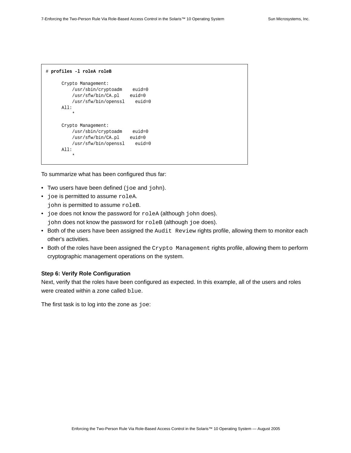```
# profiles -l roleA roleB
      Crypto Management:
         /usr/sbin/cryptoadm euid=0
         /usr/sfw/bin/CA.pl euid=0
         /usr/sfw/bin/openssl euid=0
      All:
 *
      Crypto Management:
         /usr/sbin/cryptoadm euid=0
         /usr/sfw/bin/CA.pl euid=0
         /usr/sfw/bin/openssl euid=0
      All:
 *
```
To summarize what has been configured thus far:

- Two users have been defined (joe and john).
- joe is permitted to assume roleA. john is permitted to assume roleB.
- joe does not know the password for roleA (although john does). john does not know the password for roleB (although joe does).
- Both of the users have been assigned the Audit Review rights profile, allowing them to monitor each other's activities.
- Both of the roles have been assigned the Crypto Management rights profile, allowing them to perform cryptographic management operations on the system.

#### <span id="page-9-0"></span>**Step 6: Verify Role Configuration**

Next, verify that the roles have been configured as expected. In this example, all of the users and roles were created within a zone called blue.

The first task is to log into the zone as joe: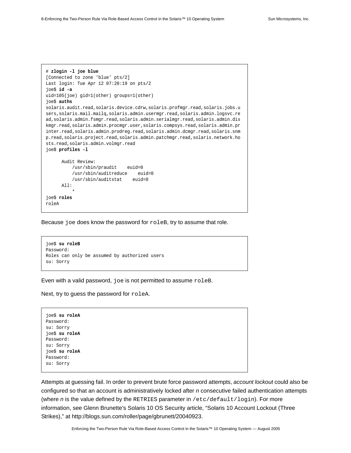```
# zlogin -l joe blue
[Connected to zone 'blue' pts/2]
Last login: Tue Apr 12 07:20:19 on pts/2
joe$ id -a
uid=105(joe) gid=1(other) groups=1(other)
joe$ auths
solaris.audit.read,solaris.device.cdrw,solaris.profmgr.read,solaris.jobs.u
sers,solaris.mail.mailq,solaris.admin.usermgr.read,solaris.admin.logsvc.re
ad,solaris.admin.fsmgr.read,solaris.admin.serialmgr.read,solaris.admin.dis
kmgr.read,solaris.admin.procmgr.user,solaris.compsys.read,solaris.admin.pr
inter.read,solaris.admin.prodreg.read,solaris.admin.dcmgr.read,solaris.snm
p.read,solaris.project.read,solaris.admin.patchmgr.read,solaris.network.ho
sts.read,solaris.admin.volmgr.read
joe$ profiles -l
      Audit Review:
          /usr/sbin/praudit euid=0
          /usr/sbin/auditreduce euid=0
          /usr/sbin/auditstat euid=0
       All:
 *
joe$ roles
roleA
```
Because joe does know the password for roleB, try to assume that role.

```
joe$ su roleB
Password:
Roles can only be assumed by authorized users
su: Sorry
```
Even with a valid password, joe is not permitted to assume roleB.

Next, try to guess the password for roleA.

joe\$ **[su roleA](http://docs.sun.com/app/docs/doc/816-5166/6mbb1kqhg?a=view)** Password: su: Sorry joe\$ **[su roleA](http://docs.sun.com/app/docs/doc/816-5166/6mbb1kqhg?a=view)** Password: su: Sorry joe\$ **[su roleA](http://docs.sun.com/app/docs/doc/816-5166/6mbb1kqhg?a=view)** Password: su: Sorry

Attempts at guessing fail. In order to prevent brute force password attempts, *account lockout* could also be configured so that an account is administratively locked after *n* consecutive failed authentication attempts (where *n* is the value defined by the RETRIES parameter in /etc/default/login[\). For more](http://blogs.sun.com/roller/page/gbrunett/20040923)  information, see Glenn Brunette's Solaris [10 OS Security article, "Solaris 10 Account Lockout \(Three](http://blogs.sun.com/roller/page/gbrunett/20040923)  [Strikes\)," at http://blogs.sun.com/roller/page/gbrunett/20040923.](http://blogs.sun.com/roller/page/gbrunett/20040923)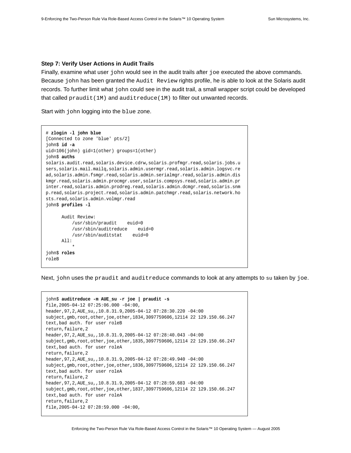#### <span id="page-11-0"></span>**Step 7: Verify User Actions in Audit Trails**

Finally, examine what user john would see in the audit trails after joe executed the above commands. Because john has been granted the Audit Review rights profile, he is able to look at the Solaris audit records. To further limit what john could see in the audit trail, a small wrapper script could be developed that called  $praudit(1M)$  and [auditreduce\(1M\)](http://docs.sun.com/app/docs/doc/816-1055/6m7gh31eh?l=ko&a=view) to filter out unwanted records.

Start with john logging into the blue zone.

```
# zlogin -l john blue
[Connected to zone 'blue' pts/2]
john$ id -a
uid=106(john) gid=1(other) groups=1(other)
john$ auths
solaris.audit.read,solaris.device.cdrw,solaris.profmgr.read,solaris.jobs.u
sers,solaris.mail.mailq,solaris.admin.usermgr.read,solaris.admin.logsvc.re
ad,solaris.admin.fsmgr.read,solaris.admin.serialmgr.read,solaris.admin.dis
kmgr.read,solaris.admin.procmgr.user,solaris.compsys.read,solaris.admin.pr
inter.read,solaris.admin.prodreg.read,solaris.admin.dcmgr.read,solaris.snm
p.read,solaris.project.read,solaris.admin.patchmgr.read,solaris.network.ho
sts.read,solaris.admin.volmgr.read
john$ profiles -l
      Audit Review:
          /usr/sbin/praudit euid=0
          /usr/sbin/auditreduce euid=0
          /usr/sbin/auditstat euid=0
      All:
 *
john$ roles
roleB
```
Next, john uses the [praudit](http://docs.sun.com/app/docs/doc/816-5166/6mbb1kqc0?a=view) and [auditreduce](http://docs.sun.com/app/docs/doc/816-1055/6m7gh31eh?l=ko&a=view) command[s](http://docs.sun.com/app/docs/doc/816-5166/6mbb1kqhg?a=view) to look at any attempts to su taken by joe.

```
john$ auditreduce -m AUE_su -r joe | praudit -s
file,2005-04-12 07:25:06.000 -04:00,
header,97,2,AUE_su,,10.8.31.9,2005-04-12 07:28:30.220 -04:00
subject,gmb,root,other,joe,other,1834,3097759606,12114 22 129.150.66.247
text,bad auth. for user roleB
return,failure,2
header,97,2,AUE_su,,10.8.31.9,2005-04-12 07:28:40.043 -04:00
subject,gmb,root,other,joe,other,1835,3097759606,12114 22 129.150.66.247
text,bad auth. for user roleA
return,failure,2
header,97,2,AUE_su,,10.8.31.9,2005-04-12 07:28:49.940 -04:00
subject,gmb,root,other,joe,other,1836,3097759606,12114 22 129.150.66.247
text,bad auth. for user roleA
return,failure,2
header,97,2,AUE_su,,10.8.31.9,2005-04-12 07:28:59.683 -04:00
subject,gmb,root,other,joe,other,1837,3097759606,12114 22 129.150.66.247
text,bad auth. for user roleA
return,failure,2
file,2005-04-12 07:28:59.000 -04:00,
```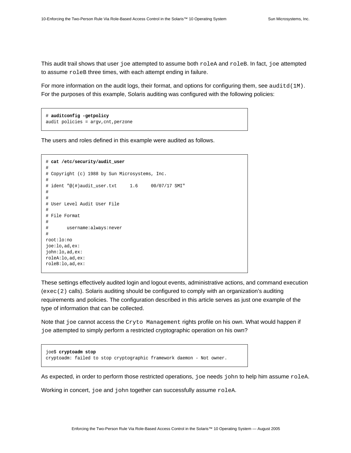This audit trail shows that user joe attempted to assume both roleA and roleB. In fact, joe attempted to assume roleB three times, with each attempt ending in failure.

For more information on the audit logs, their format, and options for configuring them, see [auditd\(1M\)](http://docs.sun.com/app/docs/doc/816-5166/6mbb1kpu0?a=view). For the purposes of this example, Solaris auditing was configured with the following policies:

```
# auditconfig -getpolicy
audit policies = argv,cnt,perzone
```
The users and roles defined in this example were audited as follows.

```
# cat /etc/security/audit_user
#
# Copyright (c) 1988 by Sun Microsystems, Inc.
#
# ident "@(#)audit_user.txt 1.6 00/07/17 SMI"
#
#
# User Level Audit User File
#
# File Format
#
# username:always:never
#
root:lo:no
joe:lo,ad,ex:
john:lo,ad,ex:
roleA:lo,ad,ex:
roleB:lo,ad,ex:
```
These settings effectively audited login and logout events, administrative actions, and command execution ([exec\(2\)](http://docs.sun.com/app/docs/doc/816-5167/6mbb2jafk?a=view) calls). Solaris auditing should be configured to comply with an organization's auditing requirements and policies. The configuration described in this article serves as just one example of the type of information that can be collected.

Note that joe cannot access the Cryto Management rights profile on his own. What would happen if joe attempted to simply perform a restricted cryptographic operation on his own?

```
joe$ cryptoadm stop
cryptoadm: failed to stop cryptographic framework daemon - Not owner.
```
As expected, in order to perform those restricted operations, joe needs john to help him assume roleA.

Working in concert, joe and john together can successfully assume roleA.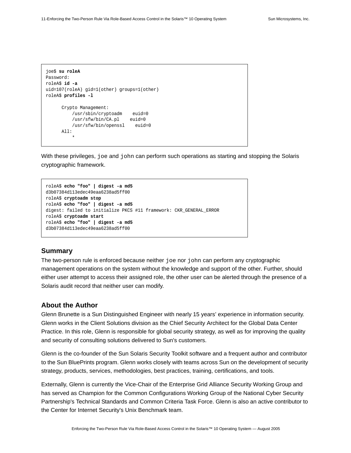```
joe$ su roleA
Password:
roleA$ id -a
uid=107(roleA) gid=1(other) groups=1(other)
roleA$ profiles -l
      Crypto Management:
         /usr/sbin/cryptoadm euid=0
         /usr/sfw/bin/CA.pl euid=0
          /usr/sfw/bin/openssl euid=0
      All:
 *
```
With these privileges, joe and john can perform such operations as starting and stopping the Solaris cryptographic framework.

```
roleA$ echo "foo" | digest -a md5
d3b07384d113edec49eaa6238ad5ff00
roleA$ cryptoadm stop
roleA$ echo "foo" | digest -a md5
digest: failed to initialize PKCS #11 framework: CKR_GENERAL_ERROR
roleA$ cryptoadm start
roleA$ echo "foo" | digest -a md5
d3b07384d113edec49eaa6238ad5ff00
```
#### <span id="page-13-0"></span>**Summary**

The two-person rule is enforced because neither joe nor john can perform any cryptographic management operations on the system without the knowledge and support of the other. Further, should either user attempt to access their assigned role, the other user can be alerted through the presence of a Solaris audit record that neither user can modify.

#### <span id="page-13-1"></span>**About the Author**

Glenn Brunette is a Sun Distinguished Engineer with nearly 15 years' experience in information security. Glenn works in the Client Solutions division as the Chief Security Architect for the Global Data Center Practice. In this role, Glenn is responsible for global security strategy, as well as for improving the quality and security of consulting solutions delivered to Sun's customers.

Glenn is the co-founder of the Sun Solaris Security Toolkit software and a frequent author and contributor to the Sun BluePrints program. Glenn works closely with teams across Sun on the development of security strategy, products, services, methodologies, best practices, training, certifications, and tools.

Externally, Glenn is currently the Vice-Chair of the Enterprise Grid Alliance Security Working Group and has served as Champion for the Common Configurations Working Group of the National Cyber Security Partnership's Technical Standards and Common Criteria Task Force. Glenn is also an active contributor to the Center for Internet Security's Unix Benchmark team.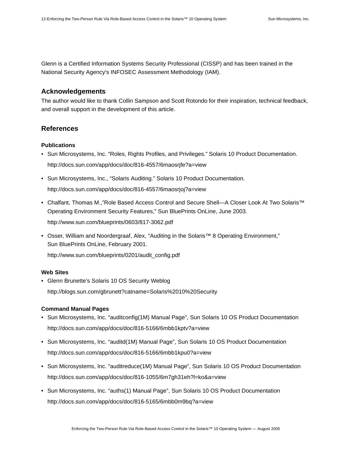Glenn is a Certified Information Systems Security Professional (CISSP) and has been trained in the National Security Agency's INFOSEC Assessment Methodology (IAM).

#### <span id="page-14-0"></span>**Acknowledgements**

The author would like to thank Collin Sampson and Scott Rotondo for their inspiration, technical feedback, and overall support in the development of this article.

#### <span id="page-14-1"></span>**References**

#### <span id="page-14-2"></span>**Publications**

- Sun Microsystems, Inc. "Roles, Rights Profiles, and Privileges." Solaris 10 Product Documentation. <http://docs.sun.com/app/docs/doc/816-4557/6maosrjfe?a=view>
- Sun Microsystems, Inc., "Solaris Auditing." Solaris 10 Product Documentation. <http://docs.sun.com/app/docs/doc/816-4557/6maosrjoj?a=view>
- Chalfant, Thomas M.,"Role Based Access Control and Secure Shell—A Closer Look At Two Solaris™ Operating Environment Security Features," Sun BluePrints OnLine, June 2003. <http://www.sun.com/blueprints/0603/817-3062.pdf>
- Osser, William and Noordergraaf, Alex, "Auditing in the Solaris™ 8 Operating Environment," Sun BluePrints OnLine, February 2001. [http://www.sun.com/blueprints/0201/audit\\_config.pdf](http://www.sun.com/blueprints/0201/audit_config.pdf)

#### <span id="page-14-3"></span>**Web Sites**

• Glenn Brunette's Solaris 10 OS Security Weblog <http://blogs.sun.com/gbrunett?catname=Solaris%2010%20Security>

#### <span id="page-14-4"></span>**Command Manual Pages**

- Sun Microsystems, Inc. "auditconfig(1M) Manual Page", Sun Solaris 10 OS Product Documentation <http://docs.sun.com/app/docs/doc/816-5166/6mbb1kptv?a=view>
- Sun Microsystems, Inc. "auditd(1M) Manual Page", Sun Solaris 10 OS Product Documentation <http://docs.sun.com/app/docs/doc/816-5166/6mbb1kpu0?a=view>
- Sun Microsystems, Inc. "auditreduce(1M) Manual Page", Sun Solaris 10 OS Product Documentation <http://docs.sun.com/app/docs/doc/816-1055/6m7gh31eh?l=ko&a=view>
- Sun Microsystems, Inc. "auths(1) Manual Page", Sun Solaris 10 OS Product Documentation <http://docs.sun.com/app/docs/doc/816-5165/6mbb0m9bq?a=view>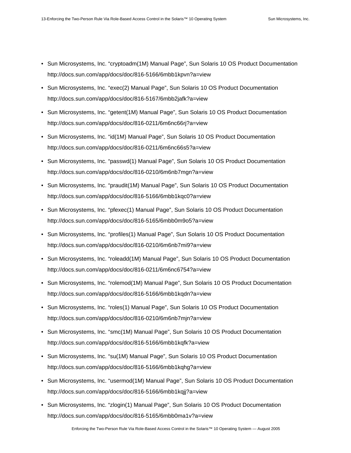- Sun Microsystems, Inc. "cryptoadm(1M) Manual Page", Sun Solaris 10 OS Product Documentation <http://docs.sun.com/app/docs/doc/816-5166/6mbb1kpvn?a=view>
- Sun Microsystems, Inc. "exec(2) Manual Page", Sun Solaris 10 OS Product Documentation <http://docs.sun.com/app/docs/doc/816-5167/6mbb2jafk?a=view>
- Sun Microsystems, Inc. "getent(1M) Manual Page", Sun Solaris 10 OS Product Documentation <http://docs.sun.com/app/docs/doc/816-0211/6m6nc66rj?a=view>
- Sun Microsystems, Inc. "id(1M) Manual Page", Sun Solaris 10 OS Product Documentation <http://docs.sun.com/app/docs/doc/816-0211/6m6nc66s5?a=view>
- Sun Microsystems, Inc. "passwd(1) Manual Page", Sun Solaris 10 OS Product Documentation <http://docs.sun.com/app/docs/doc/816-0210/6m6nb7mgn?a=view>
- Sun Microsystems, Inc. "praudit(1M) Manual Page", Sun Solaris 10 OS Product Documentation <http://docs.sun.com/app/docs/doc/816-5166/6mbb1kqc0?a=view>
- Sun Microsystems, Inc. "pfexec(1) Manual Page", Sun Solaris 10 OS Product Documentation <http://docs.sun.com/app/docs/doc/816-5165/6mbb0m9o5?a=view>
- Sun Microsystems, Inc. "profiles(1) Manual Page", Sun Solaris 10 OS Product Documentation <http://docs.sun.com/app/docs/doc/816-0210/6m6nb7mi9?a=view>
- Sun Microsystems, Inc. "roleadd(1M) Manual Page", Sun Solaris 10 OS Product Documentation <http://docs.sun.com/app/docs/doc/816-0211/6m6nc6754?a=view>
- Sun Microsystems, Inc. "rolemod(1M) Manual Page", Sun Solaris 10 OS Product Documentation <http://docs.sun.com/app/docs/doc/816-5166/6mbb1kqdn?a=view>
- Sun Microsystems, Inc. "roles(1) Manual Page", Sun Solaris 10 OS Product Documentation <http://docs.sun.com/app/docs/doc/816-0210/6m6nb7mjn?a=view>
- Sun Microsystems, Inc. "smc(1M) Manual Page", Sun Solaris 10 OS Product Documentation <http://docs.sun.com/app/docs/doc/816-5166/6mbb1kqfk?a=view>
- Sun Microsystems, Inc. "su(1M) Manual Page", Sun Solaris 10 OS Product Documentation <http://docs.sun.com/app/docs/doc/816-5166/6mbb1kqhg?a=view>
- Sun Microsystems, Inc. "usermod(1M) Manual Page", Sun Solaris 10 OS Product Documentation <http://docs.sun.com/app/docs/doc/816-5166/6mbb1kqjj?a=view>
- Sun Microsystems, Inc. "zlogin(1) Manual Page", Sun Solaris 10 OS Product Documentation <http://docs.sun.com/app/docs/doc/816-5165/6mbb0ma1v?a=view>